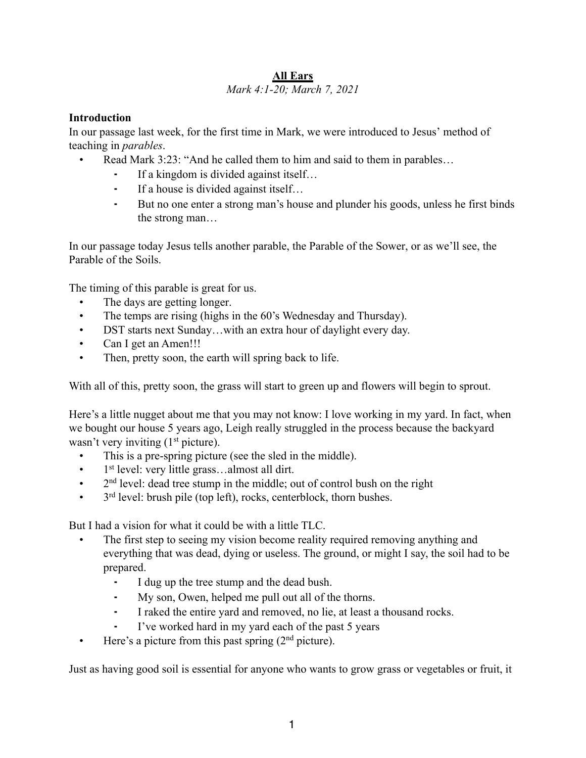#### **All Ears** *Mark 4:1-20; March 7, 2021*

#### **Introduction**

In our passage last week, for the first time in Mark, we were introduced to Jesus' method of teaching in *parables*.

- Read Mark 3:23: "And he called them to him and said to them in parables...
	- If a kingdom is divided against itself...
	- ⁃ If a house is divided against itself…
	- ⁃ But no one enter a strong man's house and plunder his goods, unless he first binds the strong man…

In our passage today Jesus tells another parable, the Parable of the Sower, or as we'll see, the Parable of the Soils.

The timing of this parable is great for us.

- The days are getting longer.
- The temps are rising (highs in the 60's Wednesday and Thursday).
- DST starts next Sunday...with an extra hour of daylight every day.
- Can I get an Amen!!!
- Then, pretty soon, the earth will spring back to life.

With all of this, pretty soon, the grass will start to green up and flowers will begin to sprout.

Here's a little nugget about me that you may not know: I love working in my yard. In fact, when we bought our house 5 years ago, Leigh really struggled in the process because the backyard wasn't very inviting  $(1<sup>st</sup> picture)$ .

- This is a pre-spring picture (see the sled in the middle).
- $\bullet$  1<sup>st</sup> level: very little grass...almost all dirt.
- $\bullet$  2<sup>nd</sup> level: dead tree stump in the middle; out of control bush on the right
- $\cdot$  3<sup>rd</sup> level: brush pile (top left), rocks, centerblock, thorn bushes.

But I had a vision for what it could be with a little TLC.

- The first step to seeing my vision become reality required removing anything and everything that was dead, dying or useless. The ground, or might I say, the soil had to be prepared.
	- ⁃ I dug up the tree stump and the dead bush.
	- My son, Owen, helped me pull out all of the thorns.
	- ⁃ I raked the entire yard and removed, no lie, at least a thousand rocks.
	- I've worked hard in my yard each of the past 5 years
- Here's a picture from this past spring  $(2<sup>nd</sup>$  picture).

Just as having good soil is essential for anyone who wants to grow grass or vegetables or fruit, it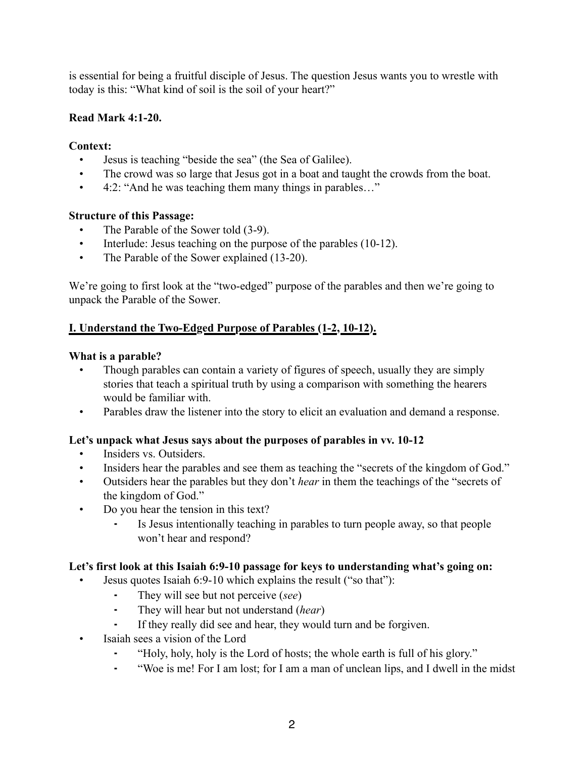is essential for being a fruitful disciple of Jesus. The question Jesus wants you to wrestle with today is this: "What kind of soil is the soil of your heart?"

### **Read Mark 4:1-20.**

### **Context:**

- Jesus is teaching "beside the sea" (the Sea of Galilee).
- The crowd was so large that Jesus got in a boat and taught the crowds from the boat.
- 4:2: "And he was teaching them many things in parables..."

## **Structure of this Passage:**

- The Parable of the Sower told (3-9).
- Interlude: Jesus teaching on the purpose of the parables (10-12).
- The Parable of the Sower explained (13-20).

We're going to first look at the "two-edged" purpose of the parables and then we're going to unpack the Parable of the Sower.

# **I. Understand the Two-Edged Purpose of Parables (1-2, 10-12).**

### **What is a parable?**

- Though parables can contain a variety of figures of speech, usually they are simply stories that teach a spiritual truth by using a comparison with something the hearers would be familiar with.
- Parables draw the listener into the story to elicit an evaluation and demand a response.

# **Let's unpack what Jesus says about the purposes of parables in vv. 10-12**

- Insiders vs. Outsiders.
- Insiders hear the parables and see them as teaching the "secrets of the kingdom of God."
- Outsiders hear the parables but they don't *hear* in them the teachings of the "secrets of the kingdom of God."
- Do you hear the tension in this text?
	- ⁃ Is Jesus intentionally teaching in parables to turn people away, so that people won't hear and respond?

### **Let's first look at this Isaiah 6:9-10 passage for keys to understanding what's going on:**

- Jesus quotes Isaiah 6:9-10 which explains the result ("so that"):
	- ⁃ They will see but not perceive (*see*)
	- ⁃ They will hear but not understand (*hear*)
	- ⁃ If they really did see and hear, they would turn and be forgiven.
- Isaiah sees a vision of the Lord
	- ⁃ "Holy, holy, holy is the Lord of hosts; the whole earth is full of his glory."
	- ⁃ "Woe is me! For I am lost; for I am a man of unclean lips, and I dwell in the midst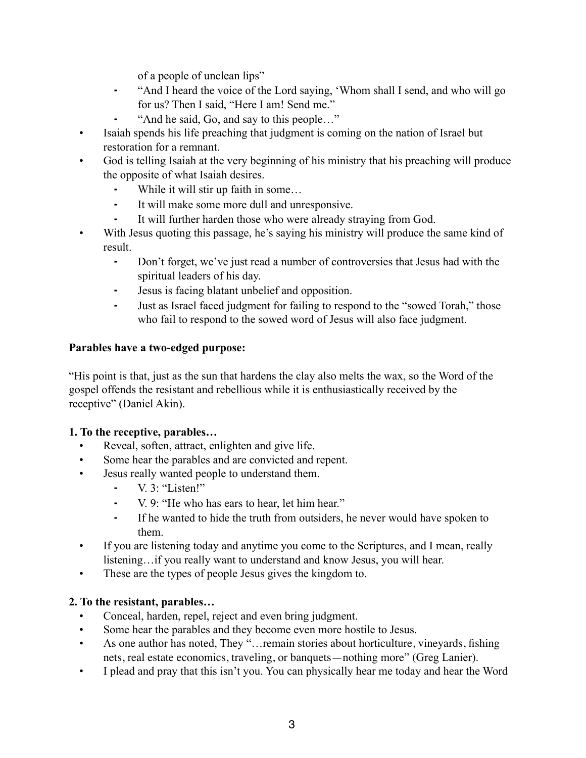of a people of unclean lips"

- ⁃ "And I heard the voice of the Lord saying, 'Whom shall I send, and who will go for us? Then I said, "Here I am! Send me."
- ⁃ "And he said, Go, and say to this people…"
- Isaiah spends his life preaching that judgment is coming on the nation of Israel but restoration for a remnant.
- God is telling Isaiah at the very beginning of his ministry that his preaching will produce the opposite of what Isaiah desires.
	- ⁃ While it will stir up faith in some…
	- ⁃ It will make some more dull and unresponsive.
	- ⁃ It will further harden those who were already straying from God.
- With Jesus quoting this passage, he's saying his ministry will produce the same kind of result.
	- ⁃ Don't forget, we've just read a number of controversies that Jesus had with the spiritual leaders of his day.
	- ⁃ Jesus is facing blatant unbelief and opposition.
	- ⁃ Just as Israel faced judgment for failing to respond to the "sowed Torah," those who fail to respond to the sowed word of Jesus will also face judgment.

### **Parables have a two-edged purpose:**

"His point is that, just as the sun that hardens the clay also melts the wax, so the Word of the gospel offends the resistant and rebellious while it is enthusiastically received by the receptive" (Daniel Akin).

### **1. To the receptive, parables…**

- Reveal, soften, attract, enlighten and give life.
- Some hear the parables and are convicted and repent.
- Jesus really wanted people to understand them.
	- ⁃ V. 3: "Listen!"
	- ⁃ V. 9: "He who has ears to hear, let him hear."
	- ⁃ If he wanted to hide the truth from outsiders, he never would have spoken to them.
- If you are listening today and anytime you come to the Scriptures, and I mean, really listening…if you really want to understand and know Jesus, you will hear.
- These are the types of people Jesus gives the kingdom to.

### **2. To the resistant, parables…**

- Conceal, harden, repel, reject and even bring judgment.
- Some hear the parables and they become even more hostile to Jesus.
- As one author has noted, They "... remain stories about horticulture, vineyards, fishing nets, real estate economics, traveling, or banquets—nothing more" (Greg Lanier).
- I plead and pray that this isn't you. You can physically hear me today and hear the Word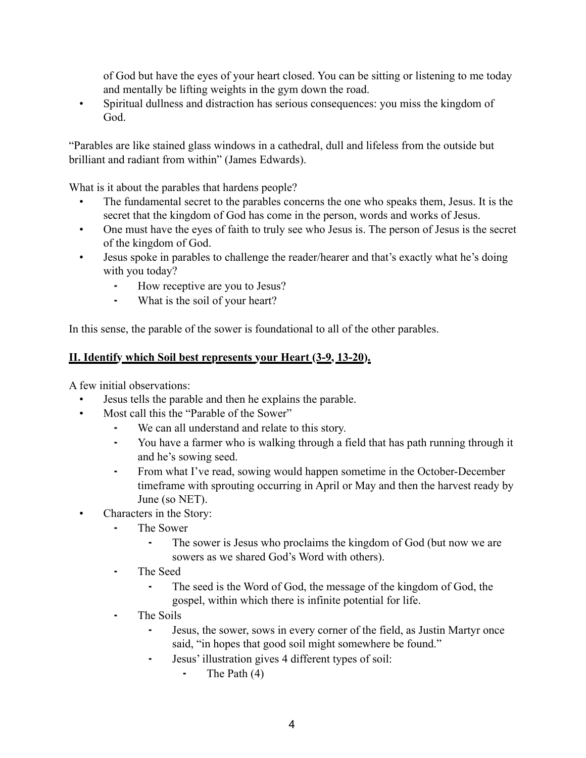of God but have the eyes of your heart closed. You can be sitting or listening to me today and mentally be lifting weights in the gym down the road.

• Spiritual dullness and distraction has serious consequences: you miss the kingdom of God.

"Parables are like stained glass windows in a cathedral, dull and lifeless from the outside but brilliant and radiant from within" (James Edwards).

What is it about the parables that hardens people?

- The fundamental secret to the parables concerns the one who speaks them, Jesus. It is the secret that the kingdom of God has come in the person, words and works of Jesus.
- One must have the eyes of faith to truly see who Jesus is. The person of Jesus is the secret of the kingdom of God.
- Jesus spoke in parables to challenge the reader/hearer and that's exactly what he's doing with you today?
	- ⁃ How receptive are you to Jesus?
	- ⁃ What is the soil of your heart?

In this sense, the parable of the sower is foundational to all of the other parables.

### **II. Identify which Soil best represents your Heart (3-9, 13-20).**

A few initial observations:

- Jesus tells the parable and then he explains the parable.
- Most call this the "Parable of the Sower"
	- We can all understand and relate to this story.
	- ⁃ You have a farmer who is walking through a field that has path running through it and he's sowing seed.
	- ⁃ From what I've read, sowing would happen sometime in the October-December timeframe with sprouting occurring in April or May and then the harvest ready by June (so NET).
- Characters in the Story:
	- The Sower
		- ⁃ The sower is Jesus who proclaims the kingdom of God (but now we are sowers as we shared God's Word with others).
	- ⁃ The Seed
		- The seed is the Word of God, the message of the kingdom of God, the gospel, within which there is infinite potential for life.
	- ⁃ The Soils
		- ⁃ Jesus, the sower, sows in every corner of the field, as Justin Martyr once said, "in hopes that good soil might somewhere be found."
		- ⁃ Jesus' illustration gives 4 different types of soil:
			- $\blacksquare$  The Path  $(4)$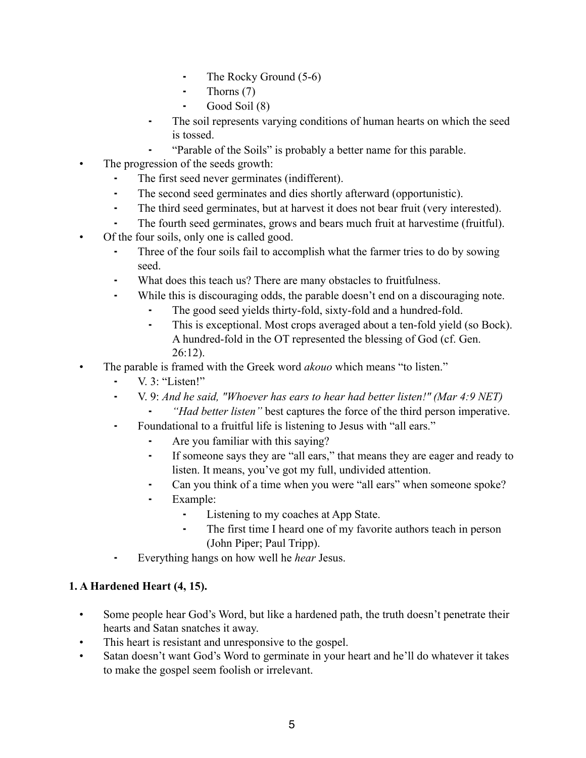- ⁃ The Rocky Ground (5-6)
- ⁃ Thorns (7)
- ⁃ Good Soil (8)
- ⁃ The soil represents varying conditions of human hearts on which the seed is tossed.
- ⁃ "Parable of the Soils" is probably a better name for this parable.
- The progression of the seeds growth:
	- ⁃ The first seed never germinates (indifferent).
	- ⁃ The second seed germinates and dies shortly afterward (opportunistic).
	- ⁃ The third seed germinates, but at harvest it does not bear fruit (very interested).
	- The fourth seed germinates, grows and bears much fruit at harvestime (fruitful).
- Of the four soils, only one is called good.
	- Three of the four soils fail to accomplish what the farmer tries to do by sowing seed.
	- ⁃ What does this teach us? There are many obstacles to fruitfulness.
	- ⁃ While this is discouraging odds, the parable doesn't end on a discouraging note.
		- ⁃ The good seed yields thirty-fold, sixty-fold and a hundred-fold.
		- ⁃ This is exceptional. Most crops averaged about a ten-fold yield (so Bock). A hundred-fold in the OT represented the blessing of God (cf. Gen. 26:12).
- The parable is framed with the Greek word *akouo* which means "to listen."
	- $\blacksquare$  V. 3: "Listen!"
	- ⁃ V. 9: *And he said, "Whoever has ears to hear had better listen!" (Mar 4:9 NET)*
		- ⁃ *"Had better listen"* best captures the force of the third person imperative.
	- ⁃ Foundational to a fruitful life is listening to Jesus with "all ears."
		- ⁃ Are you familiar with this saying?
		- ⁃ If someone says they are "all ears," that means they are eager and ready to listen. It means, you've got my full, undivided attention.
		- ⁃ Can you think of a time when you were "all ears" when someone spoke?
		- ⁃ Example:
			- ⁃ Listening to my coaches at App State.
			- ⁃ The first time I heard one of my favorite authors teach in person (John Piper; Paul Tripp).
	- ⁃ Everything hangs on how well he *hear* Jesus.

### **1. A Hardened Heart (4, 15).**

- Some people hear God's Word, but like a hardened path, the truth doesn't penetrate their hearts and Satan snatches it away.
- This heart is resistant and unresponsive to the gospel.
- Satan doesn't want God's Word to germinate in your heart and he'll do whatever it takes to make the gospel seem foolish or irrelevant.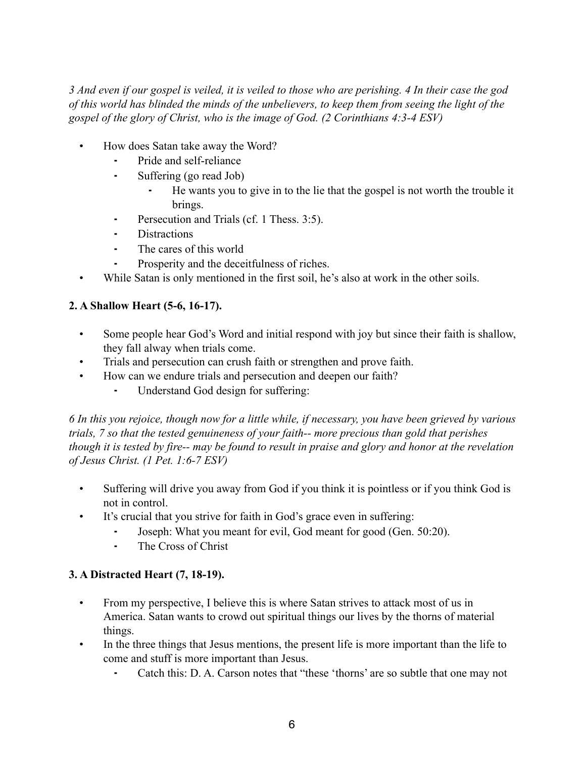*3 And even if our gospel is veiled, it is veiled to those who are perishing. 4 In their case the god of this world has blinded the minds of the unbelievers, to keep them from seeing the light of the gospel of the glory of Christ, who is the image of God. (2 Corinthians 4:3-4 ESV)*

- How does Satan take away the Word?
	- Pride and self-reliance
	- Suffering (go read Job)
		- ⁃ He wants you to give in to the lie that the gospel is not worth the trouble it brings.
	- **•** Persecution and Trials (cf. 1 Thess. 3:5).
	- **Distractions**
	- The cares of this world
	- Prosperity and the deceitfulness of riches.
- While Satan is only mentioned in the first soil, he's also at work in the other soils.

#### **2. A Shallow Heart (5-6, 16-17).**

- Some people hear God's Word and initial respond with joy but since their faith is shallow, they fall alway when trials come.
- Trials and persecution can crush faith or strengthen and prove faith.
- How can we endure trials and persecution and deepen our faith?
	- ⁃ Understand God design for suffering:

*6 In this you rejoice, though now for a little while, if necessary, you have been grieved by various trials, 7 so that the tested genuineness of your faith-- more precious than gold that perishes though it is tested by fire-- may be found to result in praise and glory and honor at the revelation of Jesus Christ. (1 Pet. 1:6-7 ESV)*

- Suffering will drive you away from God if you think it is pointless or if you think God is not in control.
- It's crucial that you strive for faith in God's grace even in suffering:
	- Joseph: What you meant for evil, God meant for good (Gen. 50:20).
	- The Cross of Christ

#### **3. A Distracted Heart (7, 18-19).**

- From my perspective, I believe this is where Satan strives to attack most of us in America. Satan wants to crowd out spiritual things our lives by the thorns of material things.
- In the three things that Jesus mentions, the present life is more important than the life to come and stuff is more important than Jesus.
	- Catch this: D. A. Carson notes that "these 'thorns' are so subtle that one may not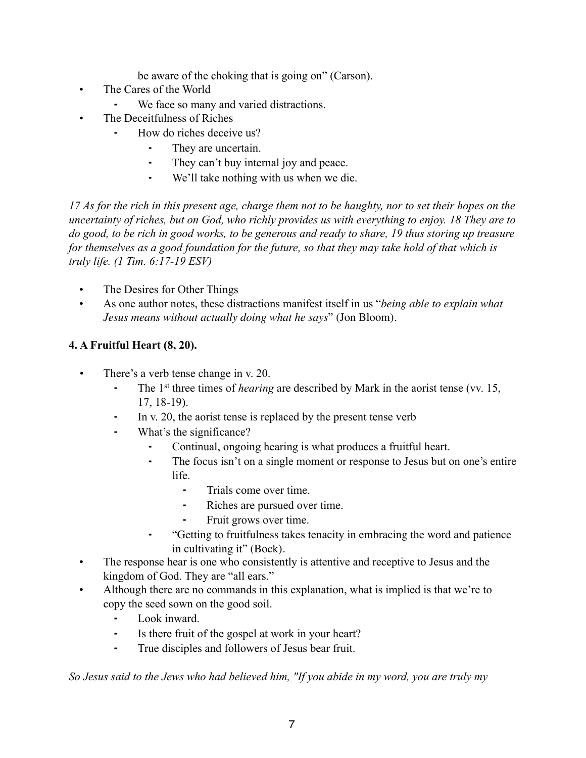be aware of the choking that is going on" (Carson).

- The Cares of the World
	- We face so many and varied distractions.
- The Deceitfulness of Riches
	- How do riches deceive us?
		- They are uncertain.
		- ⁃ They can't buy internal joy and peace.
		- ⁃ We'll take nothing with us when we die.

*17 As for the rich in this present age, charge them not to be haughty, nor to set their hopes on the uncertainty of riches, but on God, who richly provides us with everything to enjoy. 18 They are to do good, to be rich in good works, to be generous and ready to share, 19 thus storing up treasure for themselves as a good foundation for the future, so that they may take hold of that which is truly life. (1 Tim. 6:17-19 ESV)*

- The Desires for Other Things
- As one author notes, these distractions manifest itself in us "*being able to explain what Jesus means without actually doing what he says*" (Jon Bloom).

## **4. A Fruitful Heart (8, 20).**

- *•* There's a verb tense change in v. 20.
	- ⁃ The 1st three times of *hearing* are described by Mark in the aorist tense (vv. 15, 17, 18-19).
	- In v. 20, the aorist tense is replaced by the present tense verb
	- ⁃ What's the significance?
		- Continual, ongoing hearing is what produces a fruitful heart.
		- ⁃ The focus isn't on a single moment or response to Jesus but on one's entire life.
			- Trials come over time.
			- Riches are pursued over time.
			- ⁃ Fruit grows over time.
			- ⁃ "Getting to fruitfulness takes tenacity in embracing the word and patience in cultivating it" (Bock).
- The response hear is one who consistently is attentive and receptive to Jesus and the kingdom of God. They are "all ears."
- Although there are no commands in this explanation, what is implied is that we're to copy the seed sown on the good soil.
	- Look inward.
	- ⁃ Is there fruit of the gospel at work in your heart?
	- True disciples and followers of Jesus bear fruit.

*So Jesus said to the Jews who had believed him, "If you abide in my word, you are truly my*